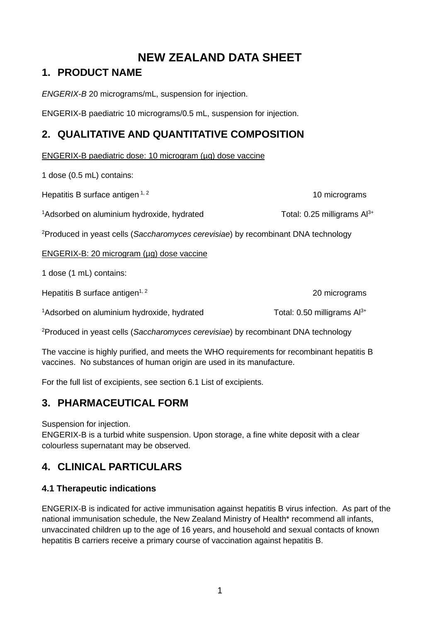# **NEW ZEALAND DATA SHEET**

## **1. PRODUCT NAME**

*ENGERIX-B* 20 micrograms/mL, suspension for injection.

ENGERIX-B paediatric 10 micrograms/0.5 mL, suspension for injection.

## **2. QUALITATIVE AND QUANTITATIVE COMPOSITION**

ENGERIX-B paediatric dose: 10 microgram (µg) dose vaccine

1 dose (0.5 mL) contains:

Hepatitis B surface antigen  $1, 2$  10 micrograms 10 micrograms

 $1A$ dsorbed on aluminium hydroxide, hydrated Total: 0.25 milligrams Al<sup>3+</sup>

2 Produced in yeast cells (*Saccharomyces cerevisiae*) by recombinant DNA technology

### ENGERIX-B: 20 microgram (µg) dose vaccine

1 dose (1 mL) contains:

Hepatitis B surface antigen<sup>1, 2</sup> 20 micrograms

 $1A$ dsorbed on aluminium hydroxide, hydrated Total: 0.50 milligrams Al<sup>3+</sup>

2 Produced in yeast cells (*Saccharomyces cerevisiae*) by recombinant DNA technology

The vaccine is highly purified, and meets the WHO requirements for recombinant hepatitis B vaccines. No substances of human origin are used in its manufacture.

For the full list of excipients, see section 6.1 List of excipients.

## **3. PHARMACEUTICAL FORM**

Suspension for injection.

ENGERIX-B is a turbid white suspension. Upon storage, a fine white deposit with a clear colourless supernatant may be observed.

## **4. CLINICAL PARTICULARS**

## **4.1 Therapeutic indications**

ENGERIX-B is indicated for active immunisation against hepatitis B virus infection. As part of the national immunisation schedule, the New Zealand Ministry of Health\* recommend all infants, unvaccinated children up to the age of 16 years, and household and sexual contacts of known hepatitis B carriers receive a primary course of vaccination against hepatitis B.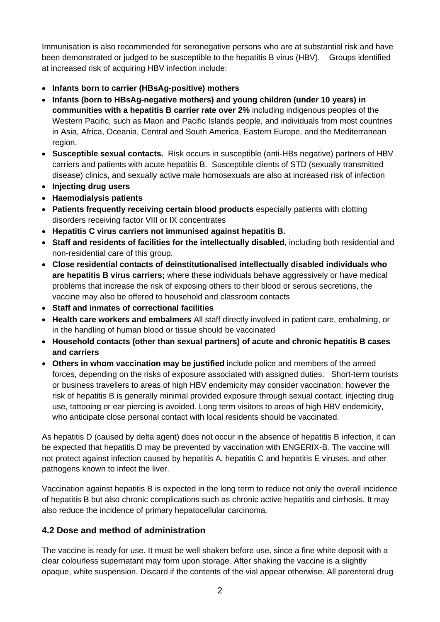Immunisation is also recommended for seronegative persons who are at substantial risk and have been demonstrated or judged to be susceptible to the hepatitis B virus (HBV). Groups identified at increased risk of acquiring HBV infection include:

- **Infants born to carrier (HBsAg-positive) mothers**
- **Infants (born to HBsAg-negative mothers) and young children (under 10 years) in communities with a hepatitis B carrier rate over 2%** including indigenous peoples of the Western Pacific, such as Maori and Pacific Islands people, and individuals from most countries in Asia, Africa, Oceania, Central and South America, Eastern Europe, and the Mediterranean region.
- **Susceptible sexual contacts.** Risk occurs in susceptible (anti-HBs negative) partners of HBV carriers and patients with acute hepatitis B. Susceptible clients of STD (sexually transmitted disease) clinics, and sexually active male homosexuals are also at increased risk of infection
- **Injecting drug users**
- **Haemodialysis patients**
- **Patients frequently receiving certain blood products** especially patients with clotting disorders receiving factor VIII or IX concentrates
- **Hepatitis C virus carriers not immunised against hepatitis B.**
- **Staff and residents of facilities for the intellectually disabled**, including both residential and non-residential care of this group.
- **Close residential contacts of deinstitutionalised intellectually disabled individuals who are hepatitis B virus carriers;** where these individuals behave aggressively or have medical problems that increase the risk of exposing others to their blood or serous secretions, the vaccine may also be offered to household and classroom contacts
- **Staff and inmates of correctional facilities**
- **Health care workers and embalmers** All staff directly involved in patient care, embalming, or in the handling of human blood or tissue should be vaccinated
- **Household contacts (other than sexual partners) of acute and chronic hepatitis B cases and carriers**
- **Others in whom vaccination may be justified** include police and members of the armed forces, depending on the risks of exposure associated with assigned duties. Short-term tourists or business travellers to areas of high HBV endemicity may consider vaccination; however the risk of hepatitis B is generally minimal provided exposure through sexual contact, injecting drug use, tattooing or ear piercing is avoided. Long term visitors to areas of high HBV endemicity, who anticipate close personal contact with local residents should be vaccinated.

As hepatitis D (caused by delta agent) does not occur in the absence of hepatitis B infection, it can be expected that hepatitis D may be prevented by vaccination with ENGERIX-B*.* The vaccine will not protect against infection caused by hepatitis A, hepatitis C and hepatitis E viruses, and other pathogens known to infect the liver.

Vaccination against hepatitis B is expected in the long term to reduce not only the overall incidence of hepatitis B but also chronic complications such as chronic active hepatitis and cirrhosis. It may also reduce the incidence of primary hepatocellular carcinoma.

## **4.2 Dose and method of administration**

The vaccine is ready for use. It must be well shaken before use, since a fine white deposit with a clear colourless supernatant may form upon storage. After shaking the vaccine is a slightly opaque, white suspension. Discard if the contents of the vial appear otherwise. All parenteral drug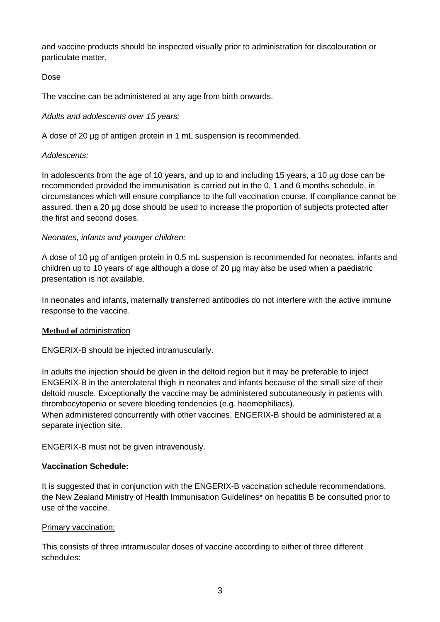and vaccine products should be inspected visually prior to administration for discolouration or particulate matter.

### Dose

The vaccine can be administered at any age from birth onwards.

### *Adults and adolescents over 15 years:*

A dose of 20 µg of antigen protein in 1 mL suspension is recommended.

### *Adolescents:*

In adolescents from the age of 10 years, and up to and including 15 years, a 10 µg dose can be recommended provided the immunisation is carried out in the 0, 1 and 6 months schedule, in circumstances which will ensure compliance to the full vaccination course. If compliance cannot be assured, then a 20 µg dose should be used to increase the proportion of subjects protected after the first and second doses.

### *Neonates, infants and younger children:*

A dose of 10 µg of antigen protein in 0.5 mL suspension is recommended for neonates, infants and children up to 10 years of age although a dose of 20 µg may also be used when a paediatric presentation is not available.

In neonates and infants, maternally transferred antibodies do not interfere with the active immune response to the vaccine.

#### **Method of administration**

ENGERIX-B should be injected intramuscularly.

In adults the injection should be given in the deltoid region but it may be preferable to inject ENGERIX-B in the anterolateral thigh in neonates and infants because of the small size of their deltoid muscle. Exceptionally the vaccine may be administered subcutaneously in patients with thrombocytopenia or severe bleeding tendencies (e.g. haemophiliacs).

When administered concurrently with other vaccines, ENGERIX-B should be administered at a separate injection site.

ENGERIX-B must not be given intravenously.

#### **Vaccination Schedule:**

It is suggested that in conjunction with the ENGERIX-B vaccination schedule recommendations, the New Zealand Ministry of Health Immunisation Guidelines\* on hepatitis B be consulted prior to use of the vaccine.

#### Primary vaccination:

This consists of three intramuscular doses of vaccine according to either of three different schedules: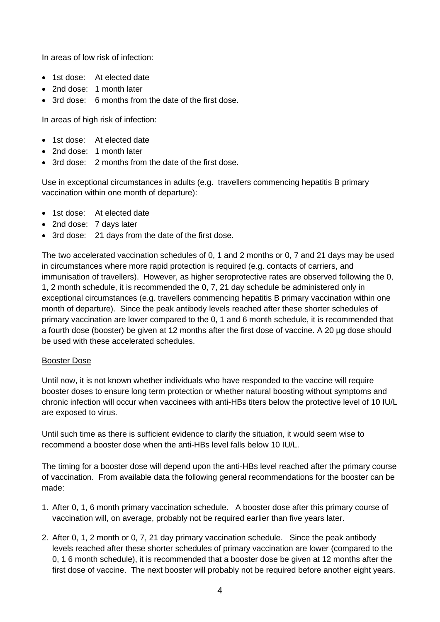In areas of low risk of infection:

- 1st dose: At elected date
- 2nd dose: 1 month later
- 3rd dose: 6 months from the date of the first dose.

In areas of high risk of infection:

- 1st dose: At elected date
- 2nd dose: 1 month later
- 3rd dose: 2 months from the date of the first dose.

Use in exceptional circumstances in adults (e.g. travellers commencing hepatitis B primary vaccination within one month of departure):

- 1st dose: At elected date
- 2nd dose: 7 days later
- 3rd dose: 21 days from the date of the first dose.

The two accelerated vaccination schedules of 0, 1 and 2 months or 0, 7 and 21 days may be used in circumstances where more rapid protection is required (e.g. contacts of carriers, and immunisation of travellers). However, as higher seroprotective rates are observed following the 0, 1, 2 month schedule, it is recommended the 0, 7, 21 day schedule be administered only in exceptional circumstances (e.g. travellers commencing hepatitis B primary vaccination within one month of departure). Since the peak antibody levels reached after these shorter schedules of primary vaccination are lower compared to the 0, 1 and 6 month schedule, it is recommended that a fourth dose (booster) be given at 12 months after the first dose of vaccine. A 20 µg dose should be used with these accelerated schedules.

#### Booster Dose

Until now, it is not known whether individuals who have responded to the vaccine will require booster doses to ensure long term protection or whether natural boosting without symptoms and chronic infection will occur when vaccinees with anti-HBs titers below the protective level of 10 IU/L are exposed to virus.

Until such time as there is sufficient evidence to clarify the situation, it would seem wise to recommend a booster dose when the anti-HBs level falls below 10 IU/L.

The timing for a booster dose will depend upon the anti-HBs level reached after the primary course of vaccination. From available data the following general recommendations for the booster can be made:

- 1. After 0, 1, 6 month primary vaccination schedule. A booster dose after this primary course of vaccination will, on average, probably not be required earlier than five years later.
- 2. After 0, 1, 2 month or 0, 7, 21 day primary vaccination schedule. Since the peak antibody levels reached after these shorter schedules of primary vaccination are lower (compared to the 0, 1 6 month schedule), it is recommended that a booster dose be given at 12 months after the first dose of vaccine. The next booster will probably not be required before another eight years.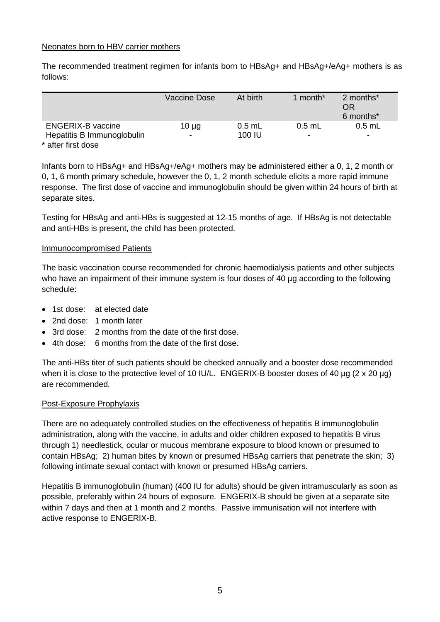#### Neonates born to HBV carrier mothers

The recommended treatment regimen for infants born to HBsAg+ and HBsAg+/eAg+ mothers is as follows:

|                            | Vaccine Dose             | At birth | 1 month* | 2 months*<br>OR<br>6 months* |
|----------------------------|--------------------------|----------|----------|------------------------------|
| <b>ENGERIX-B vaccine</b>   | $10 \mu g$               | $0.5$ mL | $0.5$ mL | $0.5$ mL                     |
| Hepatitis B Immunoglobulin | $\overline{\phantom{a}}$ | 100 IU   | ۰        | $\overline{\phantom{a}}$     |
| $\star$ after float days.  |                          |          |          |                              |

#### \* after first dose

Infants born to HBsAg+ and HBsAg+/eAg+ mothers may be administered either a 0, 1, 2 month or 0, 1, 6 month primary schedule, however the 0, 1, 2 month schedule elicits a more rapid immune response. The first dose of vaccine and immunoglobulin should be given within 24 hours of birth at separate sites.

Testing for HBsAg and anti-HBs is suggested at 12-15 months of age. If HBsAg is not detectable and anti-HBs is present, the child has been protected.

#### Immunocompromised Patients

The basic vaccination course recommended for chronic haemodialysis patients and other subjects who have an impairment of their immune system is four doses of 40 µg according to the following schedule:

- 1st dose: at elected date
- 2nd dose: 1 month later
- 3rd dose: 2 months from the date of the first dose.
- 4th dose: 6 months from the date of the first dose.

The anti-HBs titer of such patients should be checked annually and a booster dose recommended when it is close to the protective level of 10 IU/L. ENGERIX-B booster doses of 40 µg (2 x 20 µg) are recommended.

#### Post-Exposure Prophylaxis

There are no adequately controlled studies on the effectiveness of hepatitis B immunoglobulin administration, along with the vaccine, in adults and older children exposed to hepatitis B virus through 1) needlestick, ocular or mucous membrane exposure to blood known or presumed to contain HBsAg; 2) human bites by known or presumed HBsAg carriers that penetrate the skin; 3) following intimate sexual contact with known or presumed HBsAg carriers.

Hepatitis B immunoglobulin (human) (400 IU for adults) should be given intramuscularly as soon as possible, preferably within 24 hours of exposure. ENGERIX-B should be given at a separate site within 7 days and then at 1 month and 2 months. Passive immunisation will not interfere with active response to ENGERIX-B.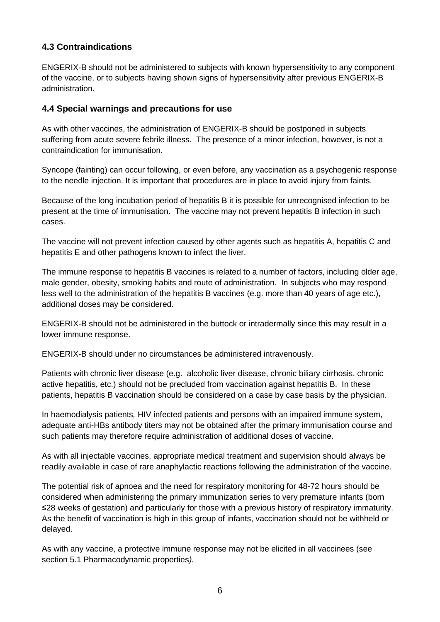## **4.3 Contraindications**

ENGERIX-B should not be administered to subjects with known hypersensitivity to any component of the vaccine, or to subjects having shown signs of hypersensitivity after previous ENGERIX-B administration.

#### **4.4 Special warnings and precautions for use**

As with other vaccines, the administration of ENGERIX-B should be postponed in subjects suffering from acute severe febrile illness. The presence of a minor infection, however, is not a contraindication for immunisation.

Syncope (fainting) can occur following, or even before, any vaccination as a psychogenic response to the needle injection. It is important that procedures are in place to avoid injury from faints.

Because of the long incubation period of hepatitis B it is possible for unrecognised infection to be present at the time of immunisation. The vaccine may not prevent hepatitis B infection in such cases.

The vaccine will not prevent infection caused by other agents such as hepatitis A, hepatitis C and hepatitis E and other pathogens known to infect the liver.

The immune response to hepatitis B vaccines is related to a number of factors, including older age, male gender, obesity, smoking habits and route of administration. In subjects who may respond less well to the administration of the hepatitis B vaccines (e.g. more than 40 years of age etc.), additional doses may be considered.

ENGERIX-B should not be administered in the buttock or intradermally since this may result in a lower immune response.

ENGERIX-B should under no circumstances be administered intravenously.

Patients with chronic liver disease (e.g. alcoholic liver disease, chronic biliary cirrhosis, chronic active hepatitis, etc.) should not be precluded from vaccination against hepatitis B. In these patients, hepatitis B vaccination should be considered on a case by case basis by the physician.

In haemodialysis patients*,* HIV infected patients and persons with an impaired immune system, adequate anti-HBs antibody titers may not be obtained after the primary immunisation course and such patients may therefore require administration of additional doses of vaccine.

As with all injectable vaccines, appropriate medical treatment and supervision should always be readily available in case of rare anaphylactic reactions following the administration of the vaccine.

The potential risk of apnoea and the need for respiratory monitoring for 48-72 hours should be considered when administering the primary immunization series to very premature infants (born ≤28 weeks of gestation) and particularly for those with a previous history of respiratory immaturity. As the benefit of vaccination is high in this group of infants, vaccination should not be withheld or delayed.

As with any vaccine, a protective immune response may not be elicited in all vaccinees (see section 5.1 Pharmacodynamic properties*).*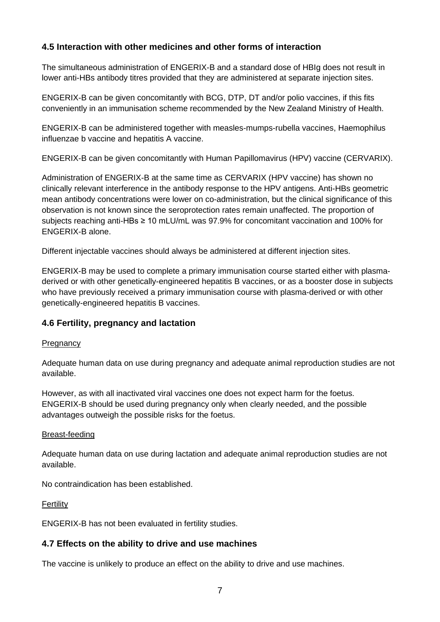## **4.5 Interaction with other medicines and other forms of interaction**

The simultaneous administration of ENGERIX-B and a standard dose of HBIg does not result in lower anti-HBs antibody titres provided that they are administered at separate injection sites.

ENGERIX-B can be given concomitantly with BCG, DTP, DT and/or polio vaccines, if this fits conveniently in an immunisation scheme recommended by the New Zealand Ministry of Health.

ENGERIX-B can be administered together with measles-mumps-rubella vaccines, Haemophilus influenzae b vaccine and hepatitis A vaccine.

ENGERIX-B can be given concomitantly with Human Papillomavirus (HPV) vaccine (CERVARIX).

Administration of ENGERIX-B at the same time as CERVARIX (HPV vaccine) has shown no clinically relevant interference in the antibody response to the HPV antigens. Anti-HBs geometric mean antibody concentrations were lower on co-administration, but the clinical significance of this observation is not known since the seroprotection rates remain unaffected. The proportion of subjects reaching anti-HBs ≥ 10 mLU/mL was 97.9% for concomitant vaccination and 100% for ENGERIX-B alone.

Different injectable vaccines should always be administered at different injection sites.

ENGERIX-B may be used to complete a primary immunisation course started either with plasmaderived or with other genetically-engineered hepatitis B vaccines, or as a booster dose in subjects who have previously received a primary immunisation course with plasma-derived or with other genetically-engineered hepatitis B vaccines.

## **4.6 Fertility, pregnancy and lactation**

#### **Pregnancy**

Adequate human data on use during pregnancy and adequate animal reproduction studies are not available.

However, as with all inactivated viral vaccines one does not expect harm for the foetus. ENGERIX-B should be used during pregnancy only when clearly needed, and the possible advantages outweigh the possible risks for the foetus.

#### Breast-feeding

Adequate human data on use during lactation and adequate animal reproduction studies are not available.

No contraindication has been established.

**Fertility** 

ENGERIX-B has not been evaluated in fertility studies.

#### **4.7 Effects on the ability to drive and use machines**

The vaccine is unlikely to produce an effect on the ability to drive and use machines.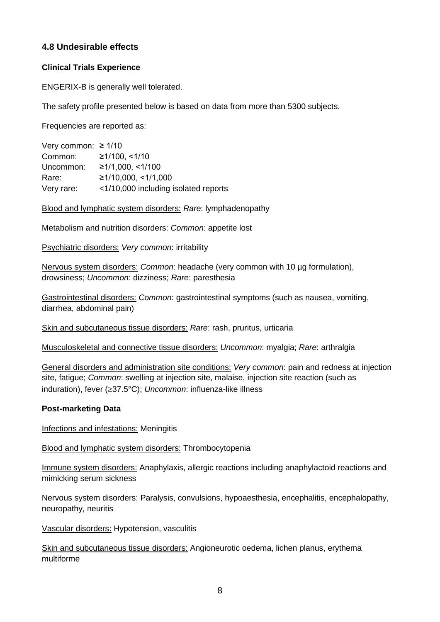## **4.8 Undesirable effects**

#### **Clinical Trials Experience**

ENGERIX-B is generally well tolerated.

The safety profile presented below is based on data from more than 5300 subjects.

Frequencies are reported as:

| Very common: $\geq 1/10$ |                                      |
|--------------------------|--------------------------------------|
| Common:                  | ≥1/100, ≤1/10                        |
| Uncommon:                | ≥1/1,000, ≤1/100                     |
| Rare:                    | ≥1/10,000, ≤1/1,000                  |
| Very rare:               | <1/10,000 including isolated reports |

Blood and lymphatic system disorders: *Rare*: lymphadenopathy

Metabolism and nutrition disorders: *Common*: appetite lost

Psychiatric disorders: *Very common*: irritability

Nervous system disorders: *Common*: headache (very common with 10 µg formulation), drowsiness; *Uncommon*: dizziness; *Rare*: paresthesia

Gastrointestinal disorders: *Common*: gastrointestinal symptoms (such as nausea, vomiting, diarrhea, abdominal pain)

Skin and subcutaneous tissue disorders: *Rare*: rash, pruritus, urticaria

Musculoskeletal and connective tissue disorders: *Uncommon*: myalgia; *Rare*: arthralgia

General disorders and administration site conditions: *Very common*: pain and redness at injection site, fatigue; *Common*: swelling at injection site, malaise, injection site reaction (such as induration), fever (≥37.5°C); *Uncommon*: influenza-like illness

#### **Post-marketing Data**

Infections and infestations: Meningitis

Blood and lymphatic system disorders: Thrombocytopenia

Immune system disorders: Anaphylaxis, allergic reactions including anaphylactoid reactions and mimicking serum sickness

Nervous system disorders: Paralysis, convulsions, hypoaesthesia, encephalitis, encephalopathy, neuropathy, neuritis

Vascular disorders: Hypotension, vasculitis

Skin and subcutaneous tissue disorders: Angioneurotic oedema, lichen planus, erythema multiforme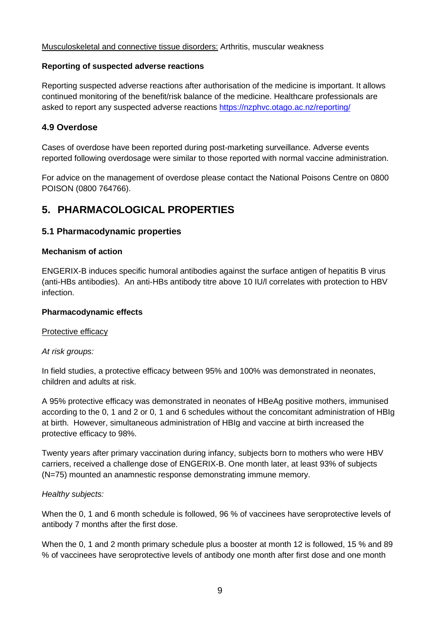#### Musculoskeletal and connective tissue disorders: Arthritis, muscular weakness

#### **Reporting of suspected adverse reactions**

Reporting suspected adverse reactions after authorisation of the medicine is important. It allows continued monitoring of the benefit/risk balance of the medicine. Healthcare professionals are asked to report any suspected adverse reactions https://nzphvc.otago.ac.nz/reporting/

### **4.9 Overdose**

Cases of overdose have been reported during post-marketing surveillance. Adverse events reported following overdosage were similar to those reported with normal vaccine administration.

For advice on the management of overdose please contact the National Poisons Centre on 0800 POISON (0800 764766).

## **5. PHARMACOLOGICAL PROPERTIES**

#### **5.1 Pharmacodynamic properties**

#### **Mechanism of action**

ENGERIX-B induces specific humoral antibodies against the surface antigen of hepatitis B virus (anti-HBs antibodies). An anti-HBs antibody titre above 10 IU/l correlates with protection to HBV infection.

#### **Pharmacodynamic effects**

#### Protective efficacy

#### *At risk groups:*

In field studies, a protective efficacy between 95% and 100% was demonstrated in neonates, children and adults at risk.

A 95% protective efficacy was demonstrated in neonates of HBeAg positive mothers, immunised according to the 0, 1 and 2 or 0, 1 and 6 schedules without the concomitant administration of HBIg at birth. However, simultaneous administration of HBIg and vaccine at birth increased the protective efficacy to 98%.

Twenty years after primary vaccination during infancy, subjects born to mothers who were HBV carriers, received a challenge dose of ENGERIX-B. One month later, at least 93% of subjects (N=75) mounted an anamnestic response demonstrating immune memory.

#### *Healthy subjects:*

When the 0, 1 and 6 month schedule is followed, 96 % of vaccinees have seroprotective levels of antibody 7 months after the first dose.

When the 0, 1 and 2 month primary schedule plus a booster at month 12 is followed, 15 % and 89 % of vaccinees have seroprotective levels of antibody one month after first dose and one month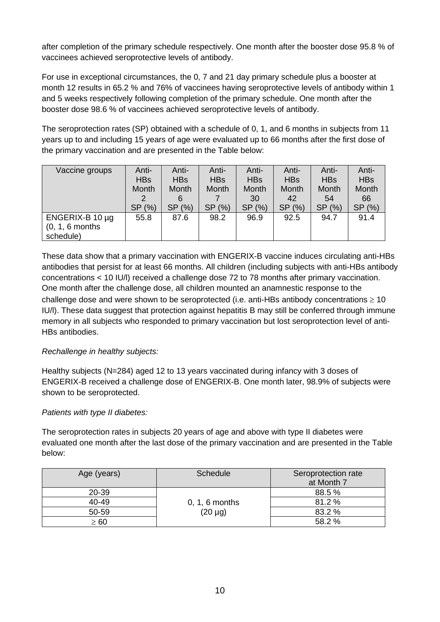after completion of the primary schedule respectively. One month after the booster dose 95.8 % of vaccinees achieved seroprotective levels of antibody.

For use in exceptional circumstances, the 0, 7 and 21 day primary schedule plus a booster at month 12 results in 65.2 % and 76% of vaccinees having seroprotective levels of antibody within 1 and 5 weeks respectively following completion of the primary schedule. One month after the booster dose 98.6 % of vaccinees achieved seroprotective levels of antibody.

The seroprotection rates (SP) obtained with a schedule of 0, 1, and 6 months in subjects from 11 years up to and including 15 years of age were evaluated up to 66 months after the first dose of the primary vaccination and are presented in the Table below:

| Vaccine groups       | Anti-             | Anti-             | Anti-             | Anti-             | Anti-      | Anti-      | Anti-      |
|----------------------|-------------------|-------------------|-------------------|-------------------|------------|------------|------------|
|                      | <b>HBs</b>        | <b>HBs</b>        | <b>HBs</b>        | <b>HBs</b>        | <b>HBs</b> | <b>HBs</b> | <b>HBs</b> |
|                      | <b>Month</b>      | Month             | Month             | Month             | Month      | Month      | Month      |
|                      | 2                 | 6                 |                   | 30                | 42         | 54         | 66         |
|                      | (% )<br><b>SP</b> | (% )<br><b>SP</b> | (% )<br><b>SP</b> | <b>SP</b><br>(% ) | SP (%)     | SP (%)     | SP (%)     |
| ENGERIX-B 10 $\mu$ g | 55.8              | 87.6              | 98.2              | 96.9              | 92.5       | 94.7       | 91.4       |
| $(0, 1, 6$ months    |                   |                   |                   |                   |            |            |            |
| schedule)            |                   |                   |                   |                   |            |            |            |

These data show that a primary vaccination with ENGERIX-B vaccine induces circulating anti-HBs antibodies that persist for at least 66 months. All children (including subjects with anti-HBs antibody concentrations < 10 IU/l) received a challenge dose 72 to 78 months after primary vaccination. One month after the challenge dose, all children mounted an anamnestic response to the challenge dose and were shown to be seroprotected (i.e. anti-HBs antibody concentrations  $\geq 10$ IU/l). These data suggest that protection against hepatitis B may still be conferred through immune memory in all subjects who responded to primary vaccination but lost seroprotection level of anti-HBs antibodies.

## *Rechallenge in healthy subjects:*

Healthy subjects (N=284) aged 12 to 13 years vaccinated during infancy with 3 doses of ENGERIX-B received a challenge dose of ENGERIX-B. One month later, 98.9% of subjects were shown to be seroprotected.

#### *Patients with type II diabetes:*

The seroprotection rates in subjects 20 years of age and above with type II diabetes were evaluated one month after the last dose of the primary vaccination and are presented in the Table below:

| Age (years) | Schedule         | Seroprotection rate<br>at Month 7 |
|-------------|------------------|-----------------------------------|
| 20-39       |                  | 88.5 %                            |
| 40-49       | $0, 1, 6$ months | 81.2%                             |
| 50-59       | $(20 \mu g)$     | 83.2%                             |
| $\geq 60$   |                  | 58.2 %                            |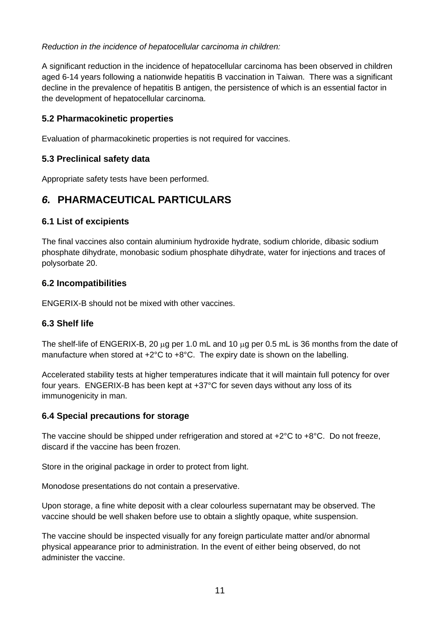### *Reduction in the incidence of hepatocellular carcinoma in children:*

A significant reduction in the incidence of hepatocellular carcinoma has been observed in children aged 6-14 years following a nationwide hepatitis B vaccination in Taiwan. There was a significant decline in the prevalence of hepatitis B antigen, the persistence of which is an essential factor in the development of hepatocellular carcinoma.

## **5.2 Pharmacokinetic properties**

Evaluation of pharmacokinetic properties is not required for vaccines.

## **5.3 Preclinical safety data**

Appropriate safety tests have been performed.

## *6.* **PHARMACEUTICAL PARTICULARS**

### **6.1 List of excipients**

The final vaccines also contain aluminium hydroxide hydrate, sodium chloride, dibasic sodium phosphate dihydrate, monobasic sodium phosphate dihydrate, water for injections and traces of polysorbate 20.

### **6.2 Incompatibilities**

ENGERIX-B should not be mixed with other vaccines.

## **6.3 Shelf life**

The shelf-life of ENGERIX-B, 20 µg per 1.0 mL and 10 µg per 0.5 mL is 36 months from the date of manufacture when stored at +2°C to +8°C. The expiry date is shown on the labelling.

Accelerated stability tests at higher temperatures indicate that it will maintain full potency for over four years. ENGERIX-B has been kept at +37°C for seven days without any loss of its immunogenicity in man.

#### **6.4 Special precautions for storage**

The vaccine should be shipped under refrigeration and stored at +2°C to +8°C. Do not freeze, discard if the vaccine has been frozen.

Store in the original package in order to protect from light.

Monodose presentations do not contain a preservative.

Upon storage, a fine white deposit with a clear colourless supernatant may be observed. The vaccine should be well shaken before use to obtain a slightly opaque, white suspension.

The vaccine should be inspected visually for any foreign particulate matter and/or abnormal physical appearance prior to administration. In the event of either being observed, do not administer the vaccine.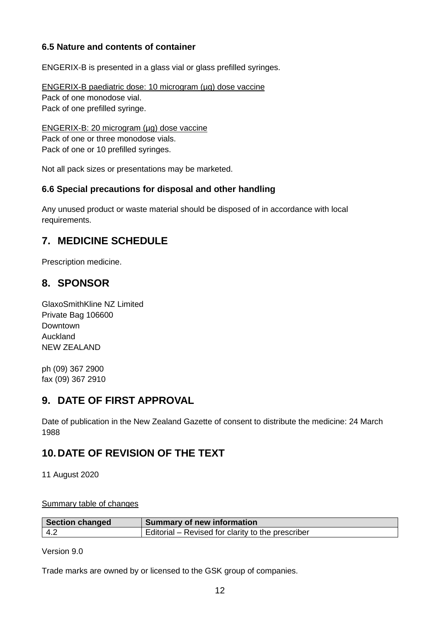## **6.5 Nature and contents of container**

ENGERIX-B is presented in a glass vial or glass prefilled syringes.

ENGERIX-B paediatric dose: 10 microgram (µg) dose vaccine Pack of one monodose vial. Pack of one prefilled syringe.

ENGERIX-B: 20 microgram (µg) dose vaccine Pack of one or three monodose vials. Pack of one or 10 prefilled syringes.

Not all pack sizes or presentations may be marketed.

### **6.6 Special precautions for disposal and other handling**

Any unused product or waste material should be disposed of in accordance with local requirements.

## **7. MEDICINE SCHEDULE**

Prescription medicine.

## **8. SPONSOR**

GlaxoSmithKline NZ Limited Private Bag 106600 Downtown Auckland NEW ZEALAND

ph (09) 367 2900 fax (09) 367 2910

## **9. DATE OF FIRST APPROVAL**

Date of publication in the New Zealand Gazette of consent to distribute the medicine: 24 March 1988

## **10.DATE OF REVISION OF THE TEXT**

11 August 2020

Summary table of changes

| <b>Section changed</b> | <b>Summary of new information</b>                 |
|------------------------|---------------------------------------------------|
| -4.2                   | Editorial – Revised for clarity to the prescriber |

Version 9.0

Trade marks are owned by or licensed to the GSK group of companies.